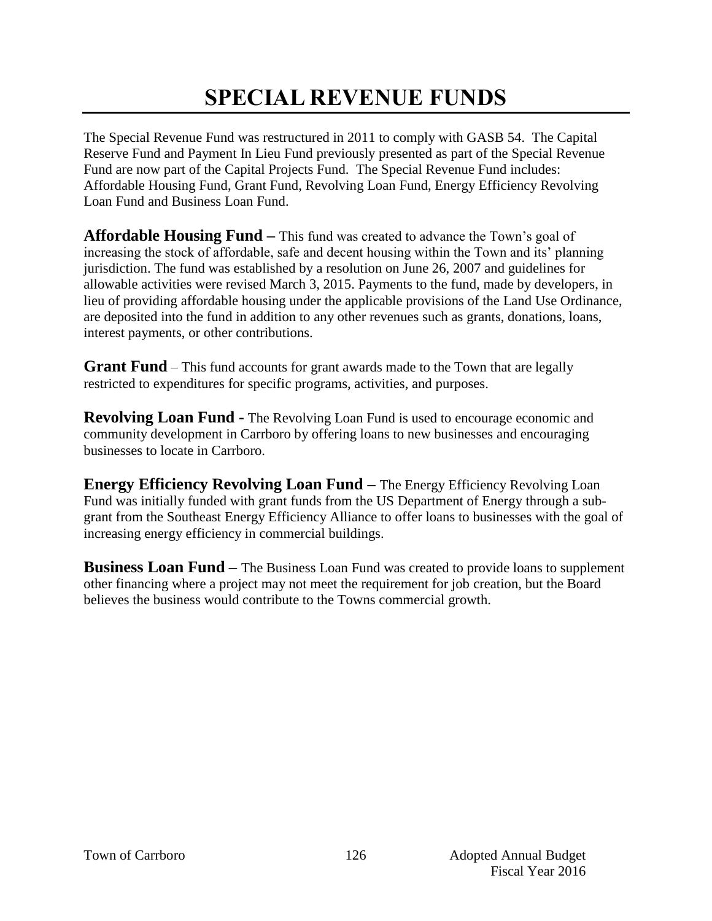# **SPECIAL REVENUE FUNDS**

The Special Revenue Fund was restructured in 2011 to comply with GASB 54. The Capital Reserve Fund and Payment In Lieu Fund previously presented as part of the Special Revenue Fund are now part of the Capital Projects Fund. The Special Revenue Fund includes: Affordable Housing Fund, Grant Fund, Revolving Loan Fund, Energy Efficiency Revolving Loan Fund and Business Loan Fund.

**Affordable Housing Fund –** This fund was created to advance the Town's goal of increasing the stock of affordable, safe and decent housing within the Town and its' planning jurisdiction. The fund was established by a resolution on June 26, 2007 and guidelines for allowable activities were revised March 3, 2015. Payments to the fund, made by developers, in lieu of providing affordable housing under the applicable provisions of the Land Use Ordinance, are deposited into the fund in addition to any other revenues such as grants, donations, loans, interest payments, or other contributions.

**Grant Fund** – This fund accounts for grant awards made to the Town that are legally restricted to expenditures for specific programs, activities, and purposes.

**Revolving Loan Fund -** The Revolving Loan Fund is used to encourage economic and community development in Carrboro by offering loans to new businesses and encouraging businesses to locate in Carrboro.

**Energy Efficiency Revolving Loan Fund –** The Energy Efficiency Revolving Loan Fund was initially funded with grant funds from the US Department of Energy through a subgrant from the Southeast Energy Efficiency Alliance to offer loans to businesses with the goal of increasing energy efficiency in commercial buildings.

**Business Loan Fund –** The Business Loan Fund was created to provide loans to supplement other financing where a project may not meet the requirement for job creation, but the Board believes the business would contribute to the Towns commercial growth.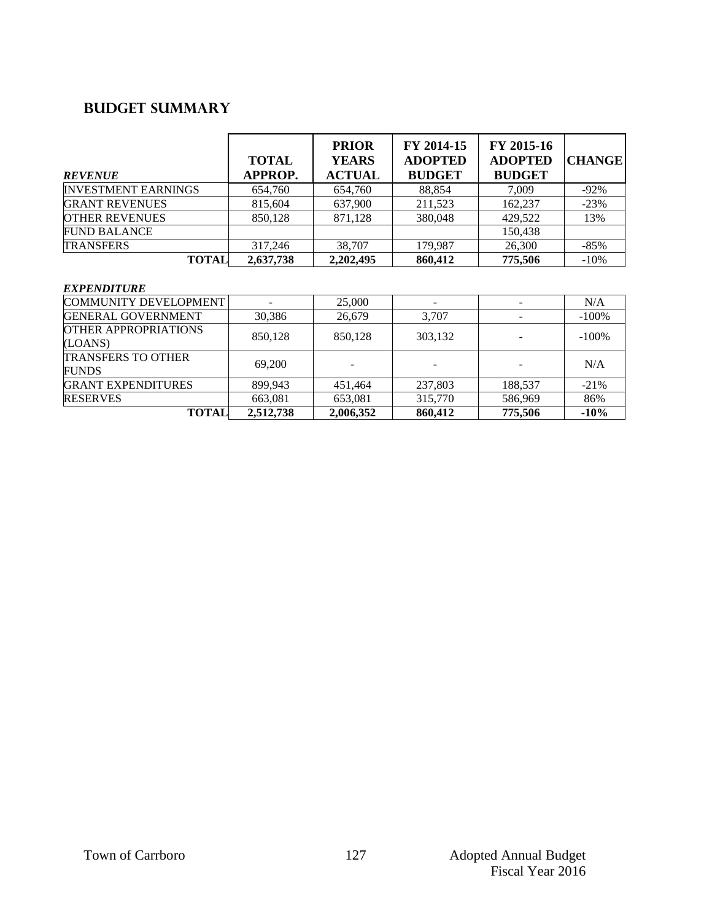## **Budget summary**

| <b>REVENUE</b>             | <b>TOTAL</b><br><b>APPROP.</b> | <b>PRIOR</b><br><b>YEARS</b><br><b>ACTUAL</b> | FY 2014-15<br><b>ADOPTED</b><br><b>BUDGET</b> | FY 2015-16<br><b>ADOPTED</b><br><b>BUDGET</b> | <b>CHANGE</b> |
|----------------------------|--------------------------------|-----------------------------------------------|-----------------------------------------------|-----------------------------------------------|---------------|
| <b>INVESTMENT EARNINGS</b> | 654,760                        | 654,760                                       | 88,854                                        | 7.009                                         | $-92%$        |
| <b>GRANT REVENUES</b>      | 815.604                        | 637,900                                       | 211,523                                       | 162,237                                       | $-23%$        |
| <b>OTHER REVENUES</b>      | 850.128                        | 871,128                                       | 380,048                                       | 429,522                                       | 13%           |
| <b>FUND BALANCE</b>        |                                |                                               |                                               | 150,438                                       |               |
| <b>TRANSFERS</b>           | 317,246                        | 38,707                                        | 179.987                                       | 26,300                                        | $-85%$        |
| <b>TOTAL</b>               | 2,637,738                      | 2,202,495                                     | 860,412                                       | 775,506                                       | $-10%$        |

#### *EXPENDITURE*

| <b>COMMUNITY DEVELOPMENT</b>              |           | 25,000    |         |         | N/A     |
|-------------------------------------------|-----------|-----------|---------|---------|---------|
| <b>GENERAL GOVERNMENT</b>                 | 30,386    | 26,679    | 3,707   |         | $-100%$ |
| <b>OTHER APPROPRIATIONS</b><br>(LOANS)    | 850,128   | 850.128   | 303,132 |         | $-100%$ |
| <b>TRANSFERS TO OTHER</b><br><b>FUNDS</b> | 69,200    |           |         |         | N/A     |
| <b>GRANT EXPENDITURES</b>                 | 899.943   | 451.464   | 237,803 | 188,537 | $-21\%$ |
| <b>RESERVES</b>                           | 663,081   | 653,081   | 315,770 | 586,969 | 86%     |
| <b>TOTAL</b>                              | 2,512,738 | 2,006,352 | 860,412 | 775,506 | $-10%$  |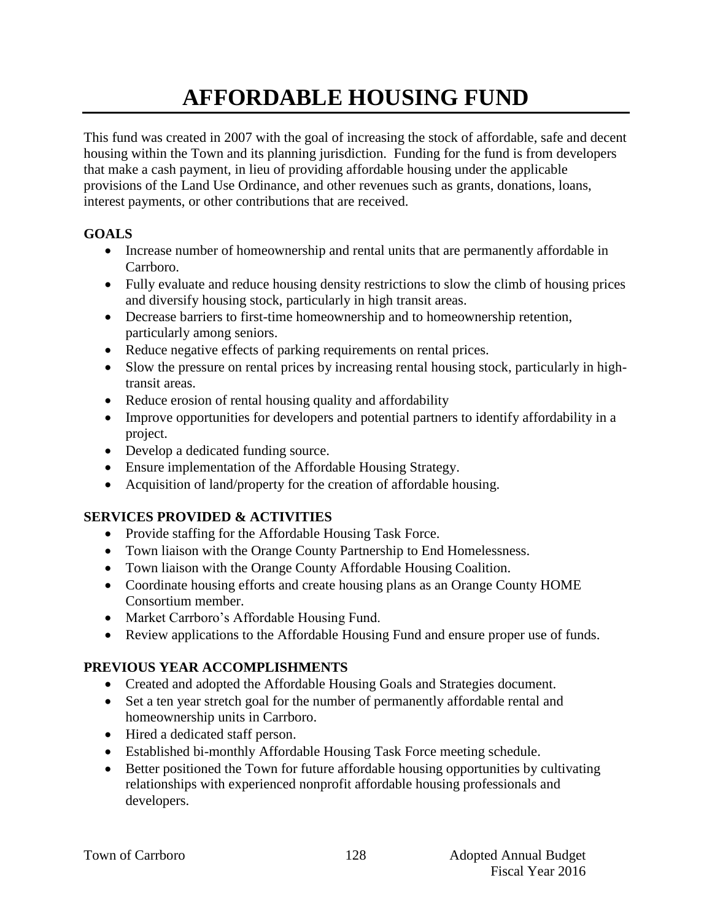# **AFFORDABLE HOUSING FUND**

This fund was created in 2007 with the goal of increasing the stock of affordable, safe and decent housing within the Town and its planning jurisdiction. Funding for the fund is from developers that make a cash payment, in lieu of providing affordable housing under the applicable provisions of the Land Use Ordinance, and other revenues such as grants, donations, loans, interest payments, or other contributions that are received.

### **GOALS**

- Increase number of homeownership and rental units that are permanently affordable in Carrboro.
- Fully evaluate and reduce housing density restrictions to slow the climb of housing prices and diversify housing stock, particularly in high transit areas.
- Decrease barriers to first-time homeownership and to homeownership retention, particularly among seniors.
- Reduce negative effects of parking requirements on rental prices.
- Slow the pressure on rental prices by increasing rental housing stock, particularly in hightransit areas.
- Reduce erosion of rental housing quality and affordability
- Improve opportunities for developers and potential partners to identify affordability in a project.
- Develop a dedicated funding source.
- Ensure implementation of the Affordable Housing Strategy.
- Acquisition of land/property for the creation of affordable housing.

### **SERVICES PROVIDED & ACTIVITIES**

- Provide staffing for the Affordable Housing Task Force.
- Town liaison with the Orange County Partnership to End Homelessness.
- Town liaison with the Orange County Affordable Housing Coalition.
- Coordinate housing efforts and create housing plans as an Orange County HOME Consortium member.
- Market Carrboro's Affordable Housing Fund.
- Review applications to the Affordable Housing Fund and ensure proper use of funds.

## **PREVIOUS YEAR ACCOMPLISHMENTS**

- Created and adopted the Affordable Housing Goals and Strategies document.
- Set a ten year stretch goal for the number of permanently affordable rental and homeownership units in Carrboro.
- Hired a dedicated staff person.
- Established bi-monthly Affordable Housing Task Force meeting schedule.
- Better positioned the Town for future affordable housing opportunities by cultivating relationships with experienced nonprofit affordable housing professionals and developers.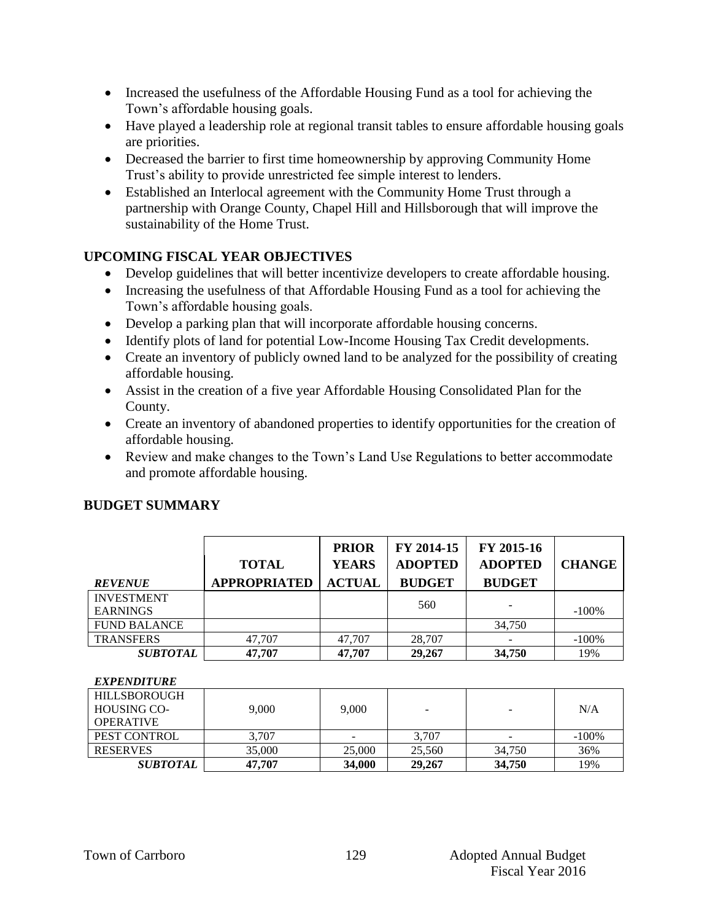- Increased the usefulness of the Affordable Housing Fund as a tool for achieving the Town's affordable housing goals.
- Have played a leadership role at regional transit tables to ensure affordable housing goals are priorities.
- Decreased the barrier to first time homeownership by approving Community Home Trust's ability to provide unrestricted fee simple interest to lenders.
- Established an Interlocal agreement with the Community Home Trust through a partnership with Orange County, Chapel Hill and Hillsborough that will improve the sustainability of the Home Trust.

### **UPCOMING FISCAL YEAR OBJECTIVES**

- Develop guidelines that will better incentivize developers to create affordable housing.
- Increasing the usefulness of that Affordable Housing Fund as a tool for achieving the Town's affordable housing goals.
- Develop a parking plan that will incorporate affordable housing concerns.
- Identify plots of land for potential Low-Income Housing Tax Credit developments.
- Create an inventory of publicly owned land to be analyzed for the possibility of creating affordable housing.
- Assist in the creation of a five year Affordable Housing Consolidated Plan for the County.
- Create an inventory of abandoned properties to identify opportunities for the creation of affordable housing.
- Review and make changes to the Town's Land Use Regulations to better accommodate and promote affordable housing.

| <b>REVENUE</b>      | <b>TOTAL</b><br><b>APPROPRIATED</b> | <b>PRIOR</b><br><b>YEARS</b><br><b>ACTUAL</b> | FY 2014-15<br><b>ADOPTED</b><br><b>BUDGET</b> | FY 2015-16<br><b>ADOPTED</b><br><b>BUDGET</b> | <b>CHANGE</b> |
|---------------------|-------------------------------------|-----------------------------------------------|-----------------------------------------------|-----------------------------------------------|---------------|
| <b>INVESTMENT</b>   |                                     |                                               | 560                                           |                                               |               |
| <b>EARNINGS</b>     |                                     |                                               |                                               |                                               | $-100%$       |
| <b>FUND BALANCE</b> |                                     |                                               |                                               | 34.750                                        |               |
| <b>TRANSFERS</b>    | 47.707                              | 47.707                                        | 28,707                                        |                                               | $-100%$       |
| <b>SUBTOTAL</b>     | 47,707                              | 47,707                                        | 29,267                                        | 34,750                                        | 19%           |

### **BUDGET SUMMARY**

#### *EXPENDITURE*

| <b>HILLSBOROUGH</b> |        |        |        |        |         |
|---------------------|--------|--------|--------|--------|---------|
| <b>HOUSING CO-</b>  | 9.000  | 9.000  | -      |        | N/A     |
| <b>OPERATIVE</b>    |        |        |        |        |         |
| PEST CONTROL        | 3.707  |        | 3,707  |        | $-100%$ |
| <b>RESERVES</b>     | 35,000 | 25,000 | 25.560 | 34,750 | 36%     |
| SUBTOTAL            | 47,707 | 34,000 | 29,267 | 34,750 | 19%     |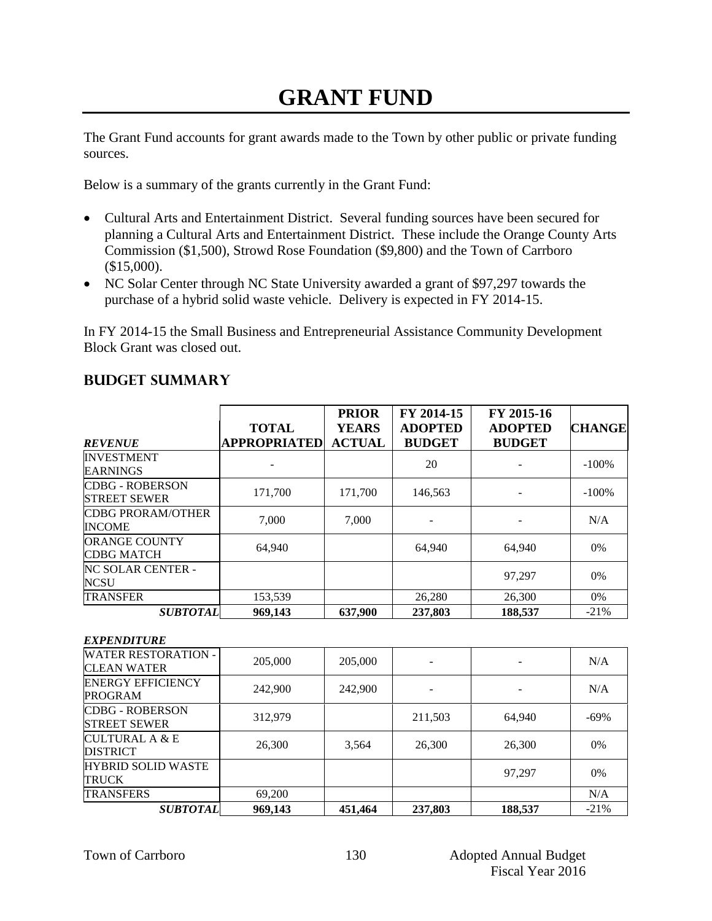## **GRANT FUND**

The Grant Fund accounts for grant awards made to the Town by other public or private funding sources.

Below is a summary of the grants currently in the Grant Fund:

- Cultural Arts and Entertainment District. Several funding sources have been secured for planning a Cultural Arts and Entertainment District. These include the Orange County Arts Commission (\$1,500), Strowd Rose Foundation (\$9,800) and the Town of Carrboro (\$15,000).
- NC Solar Center through NC State University awarded a grant of \$97,297 towards the purchase of a hybrid solid waste vehicle. Delivery is expected in FY 2014-15.

In FY 2014-15 the Small Business and Entrepreneurial Assistance Community Development Block Grant was closed out.

| <b>REVENUE</b>                                | <b>TOTAL</b><br><b>APPROPRIATED</b> | <b>PRIOR</b><br><b>YEARS</b><br><b>ACTUAL</b> | FY 2014-15<br><b>ADOPTED</b><br><b>BUDGET</b> | FY 2015-16<br><b>ADOPTED</b><br><b>BUDGET</b> | <b>CHANGE</b> |
|-----------------------------------------------|-------------------------------------|-----------------------------------------------|-----------------------------------------------|-----------------------------------------------|---------------|
| <b>INVESTMENT</b><br><b>EARNINGS</b>          |                                     |                                               | 20                                            |                                               | $-100%$       |
| <b>CDBG - ROBERSON</b><br><b>STREET SEWER</b> | 171,700                             | 171,700                                       | 146,563                                       |                                               | $-100%$       |
| <b>CDBG PRORAM/OTHER</b><br><b>INCOME</b>     | 7.000                               | 7.000                                         |                                               |                                               | N/A           |
| <b>ORANGE COUNTY</b><br><b>CDBG MATCH</b>     | 64,940                              |                                               | 64,940                                        | 64,940                                        | $0\%$         |
| <b>NC SOLAR CENTER -</b><br>NCSU              |                                     |                                               |                                               | 97.297                                        | 0%            |
| <b>TRANSFER</b>                               | 153,539                             |                                               | 26,280                                        | 26,300                                        | $0\%$         |
| <b>SUBTOTAL</b>                               | 969,143                             | 637,900                                       | 237,803                                       | 188,537                                       | $-21\%$       |

### **Budget summary**

| <i><b>EXPENDITURE</b></i> |  |
|---------------------------|--|
|---------------------------|--|

| <b>SUBTOTAL</b>                                  | 969,143 | 451,464 | 237,803 | 188,537 | $-21%$  |
|--------------------------------------------------|---------|---------|---------|---------|---------|
| <b>TRANSFERS</b>                                 | 69,200  |         |         |         | N/A     |
| <b>HYBRID SOLID WASTE</b><br><b>TRUCK</b>        |         |         |         | 97,297  | 0%      |
| <b>CULTURAL A &amp; E</b><br><b>DISTRICT</b>     | 26,300  | 3,564   | 26,300  | 26,300  | $0\%$   |
| <b>CDBG - ROBERSON</b><br><b>STREET SEWER</b>    | 312,979 |         | 211,503 | 64,940  | $-69\%$ |
| <b>ENERGY EFFICIENCY</b><br><b>PROGRAM</b>       | 242,900 | 242,900 |         |         | N/A     |
| <b>WATER RESTORATION -</b><br><b>CLEAN WATER</b> | 205,000 | 205,000 |         |         | N/A     |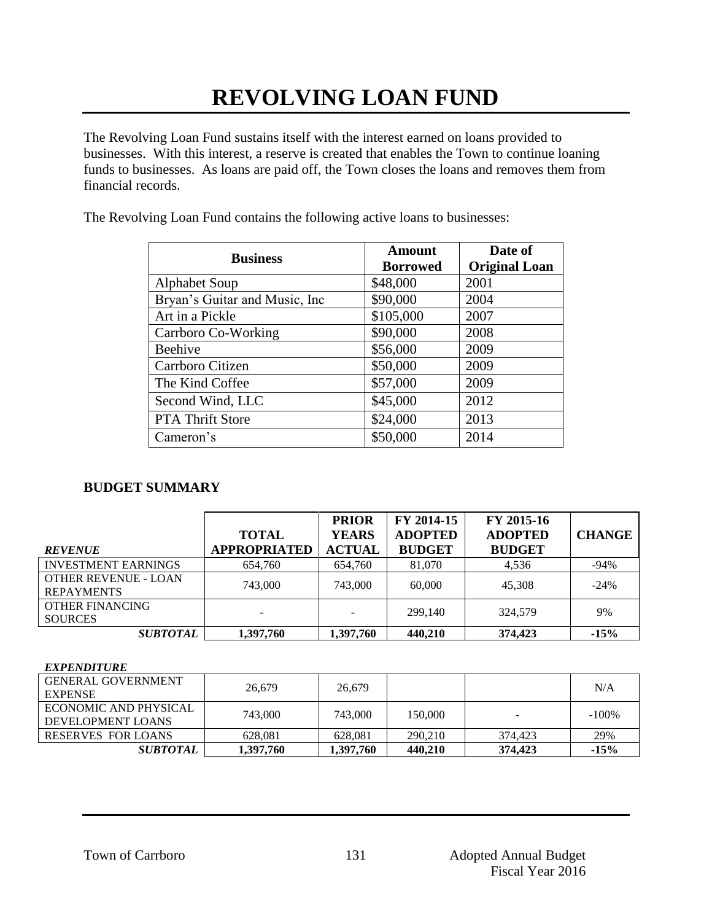# **REVOLVING LOAN FUND**

The Revolving Loan Fund sustains itself with the interest earned on loans provided to businesses. With this interest, a reserve is created that enables the Town to continue loaning funds to businesses. As loans are paid off, the Town closes the loans and removes them from financial records.

The Revolving Loan Fund contains the following active loans to businesses:

| <b>Business</b>                | Amount<br><b>Borrowed</b> | Date of<br><b>Original Loan</b> |
|--------------------------------|---------------------------|---------------------------------|
| <b>Alphabet Soup</b>           | \$48,000                  | 2001                            |
| Bryan's Guitar and Music, Inc. | \$90,000                  | 2004                            |
| Art in a Pickle                | \$105,000                 | 2007                            |
| Carrboro Co-Working            | \$90,000                  | 2008                            |
| <b>Beehive</b>                 | \$56,000                  | 2009                            |
| Carrboro Citizen               | \$50,000                  | 2009                            |
| The Kind Coffee                | \$57,000                  | 2009                            |
| Second Wind, LLC               | \$45,000                  | 2012                            |
| <b>PTA Thrift Store</b>        | \$24,000                  | 2013                            |
| Cameron's                      | \$50,000                  | 2014                            |

### **BUDGET SUMMARY**

| <b>REVENUE</b>                                   | <b>TOTAL</b><br><b>APPROPRIATED</b> | <b>PRIOR</b><br><b>YEARS</b><br><b>ACTUAL</b> | FY 2014-15<br><b>ADOPTED</b><br><b>BUDGET</b> | FY 2015-16<br><b>ADOPTED</b><br><b>BUDGET</b> | <b>CHANGE</b> |
|--------------------------------------------------|-------------------------------------|-----------------------------------------------|-----------------------------------------------|-----------------------------------------------|---------------|
| <b>INVESTMENT EARNINGS</b>                       | 654,760                             | 654,760                                       | 81,070                                        | 4,536                                         | $-94%$        |
| <b>OTHER REVENUE - LOAN</b><br><b>REPAYMENTS</b> | 743,000                             | 743,000                                       | 60,000                                        | 45,308                                        | $-24%$        |
| <b>OTHER FINANCING</b><br><b>SOURCES</b>         |                                     |                                               | 299,140                                       | 324,579                                       | 9%            |
| <b>SUBTOTAL</b>                                  | 1,397,760                           | 1,397,760                                     | 440,210                                       | 374,423                                       | $-15%$        |

#### *EXPENDITURE*

| <b>GENERAL GOVERNMENT</b><br><b>EXPENSE</b> | 26.679    | 26.679    |         |                          | N/A      |
|---------------------------------------------|-----------|-----------|---------|--------------------------|----------|
| ECONOMIC AND PHYSICAL<br>DEVELOPMENT LOANS  | 743,000   | 743,000   | 150,000 | $\overline{\phantom{a}}$ | $-100\%$ |
| RESERVES FOR LOANS                          | 628.081   | 628.081   | 290.210 | 374.423                  | 29%      |
| <i>SUBTOTAL</i>                             | 1,397,760 | 1,397,760 | 440,210 | 374,423                  | $-15%$   |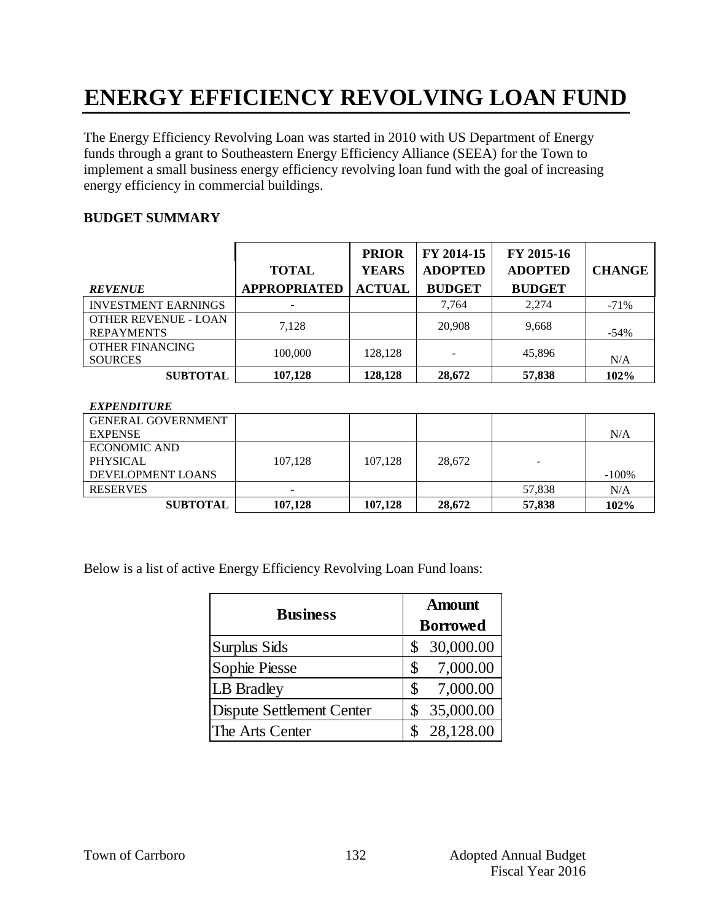# **ENERGY EFFICIENCY REVOLVING LOAN FUND**

The Energy Efficiency Revolving Loan was started in 2010 with US Department of Energy funds through a grant to Southeastern Energy Efficiency Alliance (SEEA) for the Town to implement a small business energy efficiency revolving loan fund with the goal of increasing energy efficiency in commercial buildings.

#### **BUDGET SUMMARY**

| <b>REVENUE</b>                            | <b>TOTAL</b><br><b>APPROPRIATED</b> | <b>PRIOR</b><br><b>YEARS</b><br><b>ACTUAL</b> | FY 2014-15<br><b>ADOPTED</b><br><b>BUDGET</b> | FY 2015-16<br><b>ADOPTED</b><br><b>BUDGET</b> | <b>CHANGE</b> |
|-------------------------------------------|-------------------------------------|-----------------------------------------------|-----------------------------------------------|-----------------------------------------------|---------------|
| <b>INVESTMENT EARNINGS</b>                |                                     |                                               | 7.764                                         | 2.274                                         | $-71%$        |
| OTHER REVENUE - LOAN<br><b>REPAYMENTS</b> | 7.128                               |                                               | 20,908                                        | 9,668                                         | $-54%$        |
| <b>OTHER FINANCING</b><br><b>SOURCES</b>  | 100,000                             | 128.128                                       | -                                             | 45,896                                        | N/A           |
| <b>SUBTOTAL</b>                           | 107,128                             | 128,128                                       | 28,672                                        | 57,838                                        | 102%          |

#### *EXPENDITURE*

| <b>GENERAL GOVERNMENT</b> |         |         |        |        |          |
|---------------------------|---------|---------|--------|--------|----------|
|                           |         |         |        |        |          |
| <b>EXPENSE</b>            |         |         |        |        | N/A      |
| <b>ECONOMIC AND</b>       |         |         |        |        |          |
| <b>PHYSICAL</b>           | 107.128 | 107.128 | 28.672 | -      |          |
| DEVELOPMENT LOANS         |         |         |        |        | $-100\%$ |
| <b>RESERVES</b>           | -       |         |        | 57,838 | N/A      |
| <b>SUBTOTAL</b>           | 107.128 | 107.128 | 28,672 | 57,838 | 102%     |

Below is a list of active Energy Efficiency Revolving Loan Fund loans:

| <b>Business</b>                  | <b>Amount</b><br><b>Borrowed</b> |  |  |
|----------------------------------|----------------------------------|--|--|
| <b>Surplus Sids</b>              | 30,000.00                        |  |  |
| Sophie Piesse                    | 7,000.00<br>\$                   |  |  |
| LB Bradley                       | 7,000.00<br>\$                   |  |  |
| <b>Dispute Settlement Center</b> | 35,000.00                        |  |  |
| The Arts Center                  | 28,128.00                        |  |  |